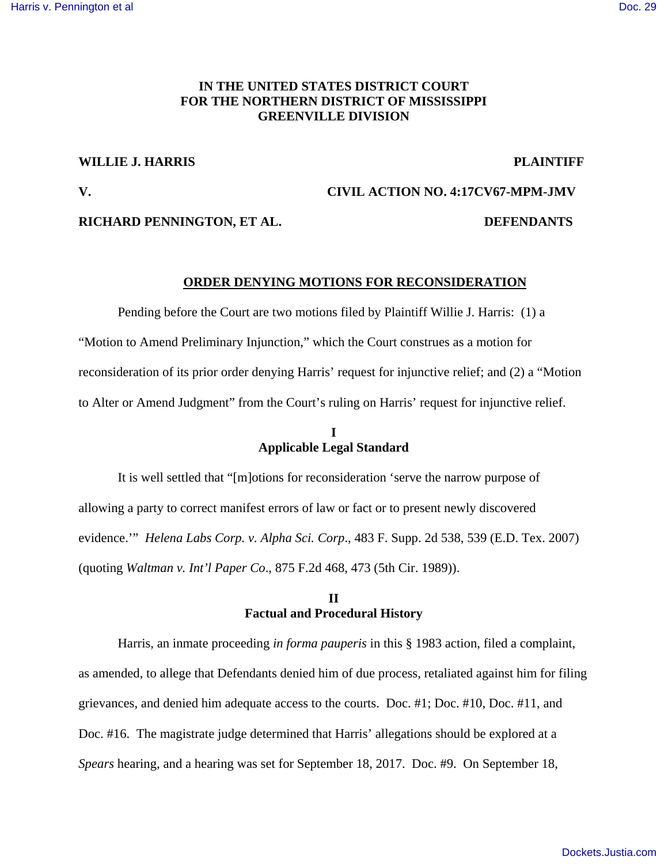## **IN THE UNITED STATES DISTRICT COURT FOR THE NORTHERN DISTRICT OF MISSISSIPPI GREENVILLE DIVISION**

#### **WILLIE J. HARRIS PLAINTIFF**

# **V. CIVIL ACTION NO. 4:17CV67-MPM-JMV**

### **RICHARD PENNINGTON, ET AL. DEFENDANTS**

### **ORDER DENYING MOTIONS FOR RECONSIDERATION**

 Pending before the Court are two motions filed by Plaintiff Willie J. Harris: (1) a "Motion to Amend Preliminary Injunction," which the Court construes as a motion for reconsideration of its prior order denying Harris' request for injunctive relief; and (2) a "Motion to Alter or Amend Judgment" from the Court's ruling on Harris' request for injunctive relief.

# **I Applicable Legal Standard**

 It is well settled that "[m]otions for reconsideration 'serve the narrow purpose of allowing a party to correct manifest errors of law or fact or to present newly discovered evidence.'" *Helena Labs Corp. v. Alpha Sci. Corp*., 483 F. Supp. 2d 538, 539 (E.D. Tex. 2007) (quoting *Waltman v. Int'l Paper Co*., 875 F.2d 468, 473 (5th Cir. 1989)).

# **II Factual and Procedural History**

 Harris, an inmate proceeding *in forma pauperis* in this § 1983 action, filed a complaint, as amended, to allege that Defendants denied him of due process, retaliated against him for filing grievances, and denied him adequate access to the courts. Doc. #1; Doc. #10, Doc. #11, and Doc. #16. The magistrate judge determined that Harris' allegations should be explored at a *Spears* hearing, and a hearing was set for September 18, 2017. Doc. #9. On September 18,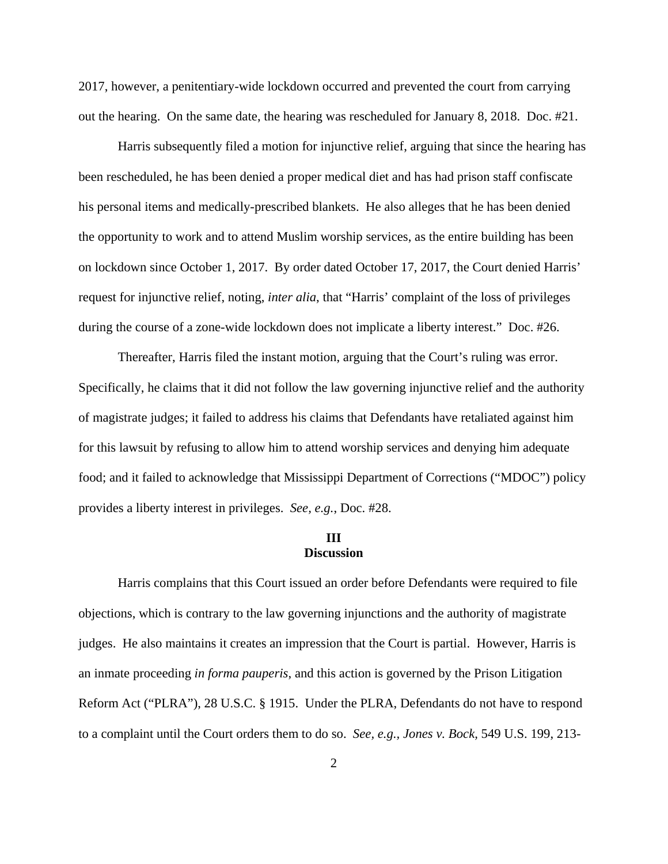2017, however, a penitentiary-wide lockdown occurred and prevented the court from carrying out the hearing. On the same date, the hearing was rescheduled for January 8, 2018. Doc. #21.

 Harris subsequently filed a motion for injunctive relief, arguing that since the hearing has been rescheduled, he has been denied a proper medical diet and has had prison staff confiscate his personal items and medically-prescribed blankets. He also alleges that he has been denied the opportunity to work and to attend Muslim worship services, as the entire building has been on lockdown since October 1, 2017. By order dated October 17, 2017, the Court denied Harris' request for injunctive relief, noting, *inter alia*, that "Harris' complaint of the loss of privileges during the course of a zone-wide lockdown does not implicate a liberty interest." Doc. #26.

Thereafter, Harris filed the instant motion, arguing that the Court's ruling was error. Specifically, he claims that it did not follow the law governing injunctive relief and the authority of magistrate judges; it failed to address his claims that Defendants have retaliated against him for this lawsuit by refusing to allow him to attend worship services and denying him adequate food; and it failed to acknowledge that Mississippi Department of Corrections ("MDOC") policy provides a liberty interest in privileges. *See, e.g.*, Doc. #28.

## **III Discussion**

 Harris complains that this Court issued an order before Defendants were required to file objections, which is contrary to the law governing injunctions and the authority of magistrate judges. He also maintains it creates an impression that the Court is partial. However, Harris is an inmate proceeding *in forma pauperis*, and this action is governed by the Prison Litigation Reform Act ("PLRA"), 28 U.S.C. § 1915. Under the PLRA, Defendants do not have to respond to a complaint until the Court orders them to do so. *See, e.g., Jones v. Bock,* 549 U.S. 199, 213-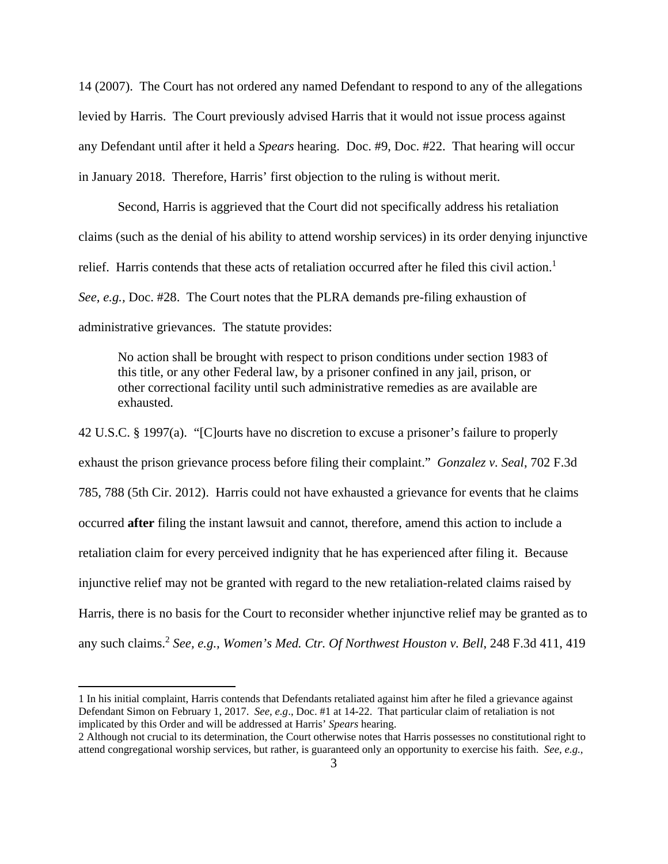14 (2007). The Court has not ordered any named Defendant to respond to any of the allegations levied by Harris. The Court previously advised Harris that it would not issue process against any Defendant until after it held a *Spears* hearing. Doc. #9, Doc. #22. That hearing will occur in January 2018. Therefore, Harris' first objection to the ruling is without merit.

 Second, Harris is aggrieved that the Court did not specifically address his retaliation claims (such as the denial of his ability to attend worship services) in its order denying injunctive relief. Harris contends that these acts of retaliation occurred after he filed this civil action.<sup>1</sup> *See, e.g.,* Doc. #28. The Court notes that the PLRA demands pre-filing exhaustion of administrative grievances. The statute provides:

No action shall be brought with respect to prison conditions under section 1983 of this title, or any other Federal law, by a prisoner confined in any jail, prison, or other correctional facility until such administrative remedies as are available are exhausted.

42 U.S.C. § 1997(a). "[C]ourts have no discretion to excuse a prisoner's failure to properly exhaust the prison grievance process before filing their complaint." *Gonzalez v. Seal*, 702 F.3d 785, 788 (5th Cir. 2012). Harris could not have exhausted a grievance for events that he claims occurred **after** filing the instant lawsuit and cannot, therefore, amend this action to include a retaliation claim for every perceived indignity that he has experienced after filing it. Because injunctive relief may not be granted with regard to the new retaliation-related claims raised by Harris, there is no basis for the Court to reconsider whether injunctive relief may be granted as to any such claims.<sup>2</sup> *See, e.g., Women's Med. Ctr. Of Northwest Houston v. Bell*, 248 F.3d 411, 419

<u>.</u>

<sup>1</sup> In his initial complaint, Harris contends that Defendants retaliated against him after he filed a grievance against Defendant Simon on February 1, 2017. *See, e.g*., Doc. #1 at 14-22. That particular claim of retaliation is not implicated by this Order and will be addressed at Harris' *Spears* hearing.

<sup>2</sup> Although not crucial to its determination, the Court otherwise notes that Harris possesses no constitutional right to attend congregational worship services, but rather, is guaranteed only an opportunity to exercise his faith. *See, e.g.,*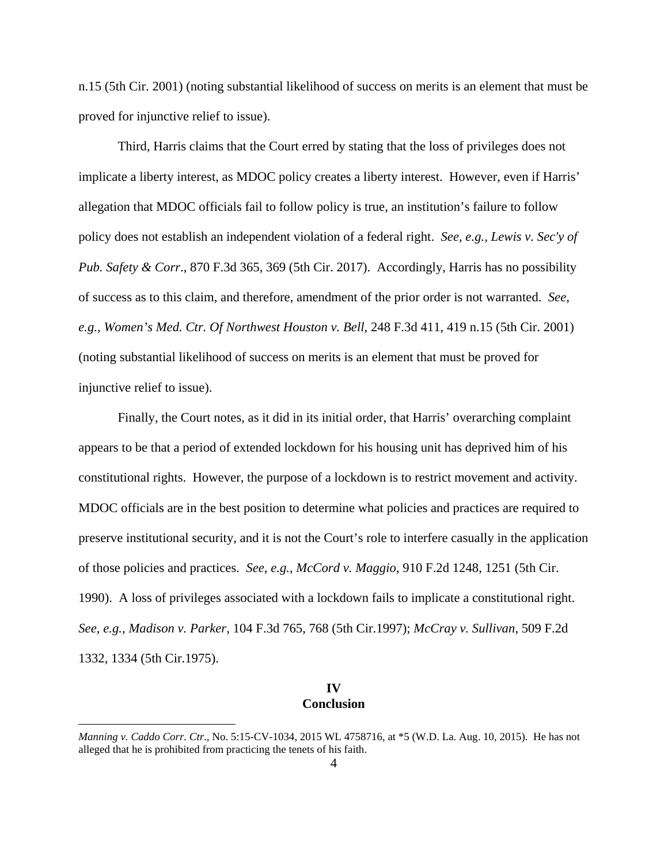n.15 (5th Cir. 2001) (noting substantial likelihood of success on merits is an element that must be proved for injunctive relief to issue).

 Third, Harris claims that the Court erred by stating that the loss of privileges does not implicate a liberty interest, as MDOC policy creates a liberty interest. However, even if Harris' allegation that MDOC officials fail to follow policy is true, an institution's failure to follow policy does not establish an independent violation of a federal right. *See, e.g., Lewis v. Sec'y of Pub. Safety & Corr*., 870 F.3d 365, 369 (5th Cir. 2017). Accordingly, Harris has no possibility of success as to this claim, and therefore, amendment of the prior order is not warranted. *See, e.g., Women's Med. Ctr. Of Northwest Houston v. Bell*, 248 F.3d 411, 419 n.15 (5th Cir. 2001) (noting substantial likelihood of success on merits is an element that must be proved for injunctive relief to issue).

 Finally, the Court notes, as it did in its initial order, that Harris' overarching complaint appears to be that a period of extended lockdown for his housing unit has deprived him of his constitutional rights. However, the purpose of a lockdown is to restrict movement and activity. MDOC officials are in the best position to determine what policies and practices are required to preserve institutional security, and it is not the Court's role to interfere casually in the application of those policies and practices. *See, e.g., McCord v. Maggio*, 910 F.2d 1248, 1251 (5th Cir. 1990). A loss of privileges associated with a lockdown fails to implicate a constitutional right. *See, e.g.*, *Madison v. Parker*, 104 F.3d 765, 768 (5th Cir.1997); *McCray v. Sullivan*, 509 F.2d 1332, 1334 (5th Cir.1975).

## **IV Conclusion**

 $\overline{a}$ 

*Manning v. Caddo Corr. Ctr*., No. 5:15-CV-1034, 2015 WL 4758716, at \*5 (W.D. La. Aug. 10, 2015). He has not alleged that he is prohibited from practicing the tenets of his faith.